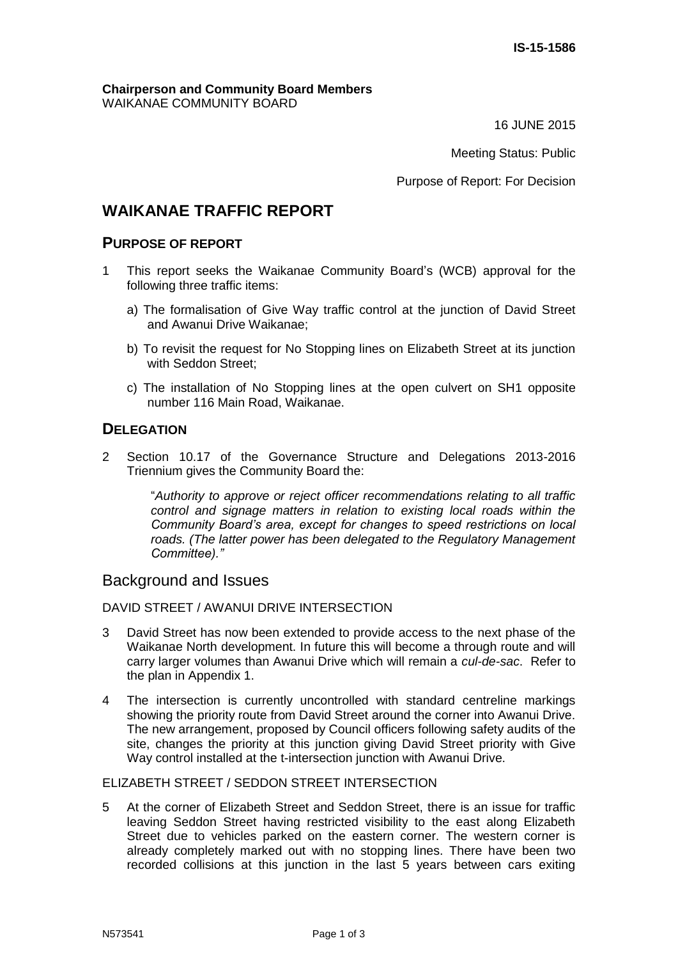#### **Chairperson and Community Board Members** WAIKANAE COMMUNITY BOARD

16 JUNE 2015

Meeting Status: Public

Purpose of Report: For Decision

# **WAIKANAE TRAFFIC REPORT**

# **PURPOSE OF REPORT**

- 1 This report seeks the Waikanae Community Board's (WCB) approval for the following three traffic items:
	- a) The formalisation of Give Way traffic control at the junction of David Street and Awanui Drive Waikanae;
	- b) To revisit the request for No Stopping lines on Elizabeth Street at its junction with Seddon Street;
	- c) The installation of No Stopping lines at the open culvert on SH1 opposite number 116 Main Road, Waikanae.

# **DELEGATION**

2 Section 10.17 of the Governance Structure and Delegations 2013-2016 Triennium gives the Community Board the:

> "*Authority to approve or reject officer recommendations relating to all traffic control and signage matters in relation to existing local roads within the Community Board's area, except for changes to speed restrictions on local roads. (The latter power has been delegated to the Regulatory Management Committee)."*

# Background and Issues

#### DAVID STREET / AWANUI DRIVE INTERSECTION

- 3 David Street has now been extended to provide access to the next phase of the Waikanae North development. In future this will become a through route and will carry larger volumes than Awanui Drive which will remain a *cul-de-sac*. Refer to the plan in Appendix 1.
- 4 The intersection is currently uncontrolled with standard centreline markings showing the priority route from David Street around the corner into Awanui Drive. The new arrangement, proposed by Council officers following safety audits of the site, changes the priority at this junction giving David Street priority with Give Way control installed at the t-intersection junction with Awanui Drive.

### ELIZABETH STREET / SEDDON STREET INTERSECTION

5 At the corner of Elizabeth Street and Seddon Street, there is an issue for traffic leaving Seddon Street having restricted visibility to the east along Elizabeth Street due to vehicles parked on the eastern corner. The western corner is already completely marked out with no stopping lines. There have been two recorded collisions at this junction in the last 5 years between cars exiting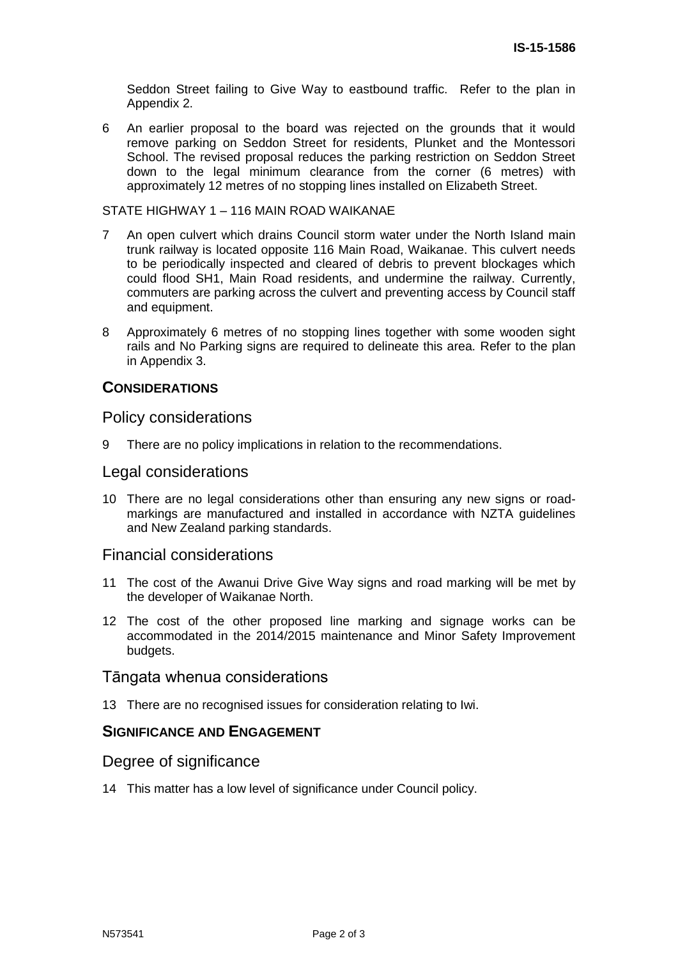Seddon Street failing to Give Way to eastbound traffic. Refer to the plan in Appendix 2.

6 An earlier proposal to the board was rejected on the grounds that it would remove parking on Seddon Street for residents, Plunket and the Montessori School. The revised proposal reduces the parking restriction on Seddon Street down to the legal minimum clearance from the corner (6 metres) with approximately 12 metres of no stopping lines installed on Elizabeth Street.

#### STATE HIGHWAY 1 – 116 MAIN ROAD WAIKANAE

- 7 An open culvert which drains Council storm water under the North Island main trunk railway is located opposite 116 Main Road, Waikanae. This culvert needs to be periodically inspected and cleared of debris to prevent blockages which could flood SH1, Main Road residents, and undermine the railway. Currently, commuters are parking across the culvert and preventing access by Council staff and equipment.
- 8 Approximately 6 metres of no stopping lines together with some wooden sight rails and No Parking signs are required to delineate this area. Refer to the plan in Appendix 3.

### **CONSIDERATIONS**

Policy considerations

9 There are no policy implications in relation to the recommendations.

#### Legal considerations

10 There are no legal considerations other than ensuring any new signs or roadmarkings are manufactured and installed in accordance with NZTA guidelines and New Zealand parking standards.

### Financial considerations

- 11 The cost of the Awanui Drive Give Way signs and road marking will be met by the developer of Waikanae North.
- 12 The cost of the other proposed line marking and signage works can be accommodated in the 2014/2015 maintenance and Minor Safety Improvement budgets.

### Tāngata whenua considerations

13 There are no recognised issues for consideration relating to Iwi.

### **SIGNIFICANCE AND ENGAGEMENT**

#### Degree of significance

14 This matter has a low level of significance under Council policy.